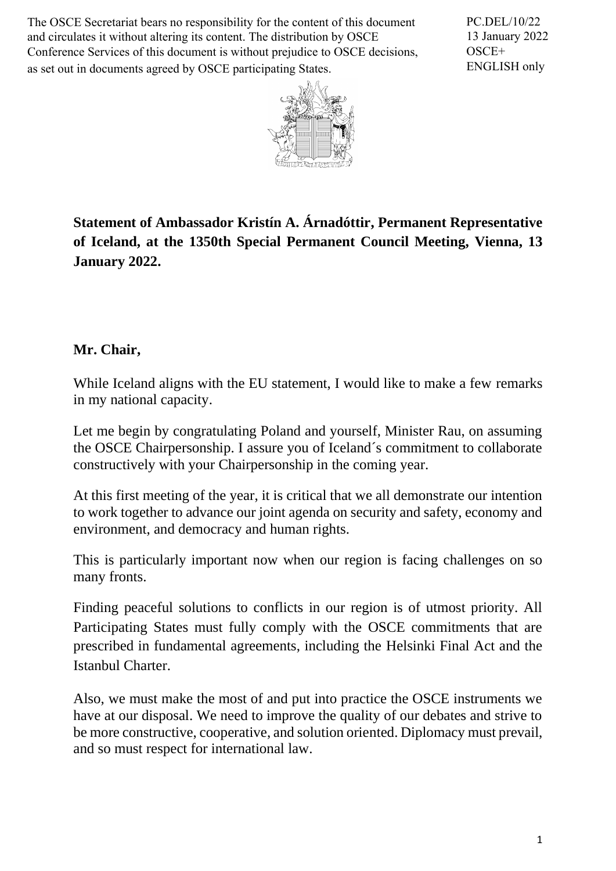The OSCE Secretariat bears no responsibility for the content of this document and circulates it without altering its content. The distribution by OSCE Conference Services of this document is without prejudice to OSCE decisions, as set out in documents agreed by OSCE participating States.

PC.DEL/10/22 13 January 2022 OSCE+ ENGLISH only



**Statement of Ambassador Kristín A. Árnadóttir, Permanent Representative of Iceland, at the 1350th Special Permanent Council Meeting, Vienna, 13 January 2022.**

## **Mr. Chair,**

While Iceland aligns with the EU statement. I would like to make a few remarks in my national capacity.

Let me begin by congratulating Poland and yourself, Minister Rau, on assuming the OSCE Chairpersonship. I assure you of Iceland´s commitment to collaborate constructively with your Chairpersonship in the coming year.

At this first meeting of the year, it is critical that we all demonstrate our intention to work together to advance our joint agenda on security and safety, economy and environment, and democracy and human rights.

This is particularly important now when our region is facing challenges on so many fronts.

Finding peaceful solutions to conflicts in our region is of utmost priority. All Participating States must fully comply with the OSCE commitments that are prescribed in fundamental agreements, including the Helsinki Final Act and the Istanbul Charter.

Also, we must make the most of and put into practice the OSCE instruments we have at our disposal. We need to improve the quality of our debates and strive to be more constructive, cooperative, and solution oriented. Diplomacy must prevail, and so must respect for international law.